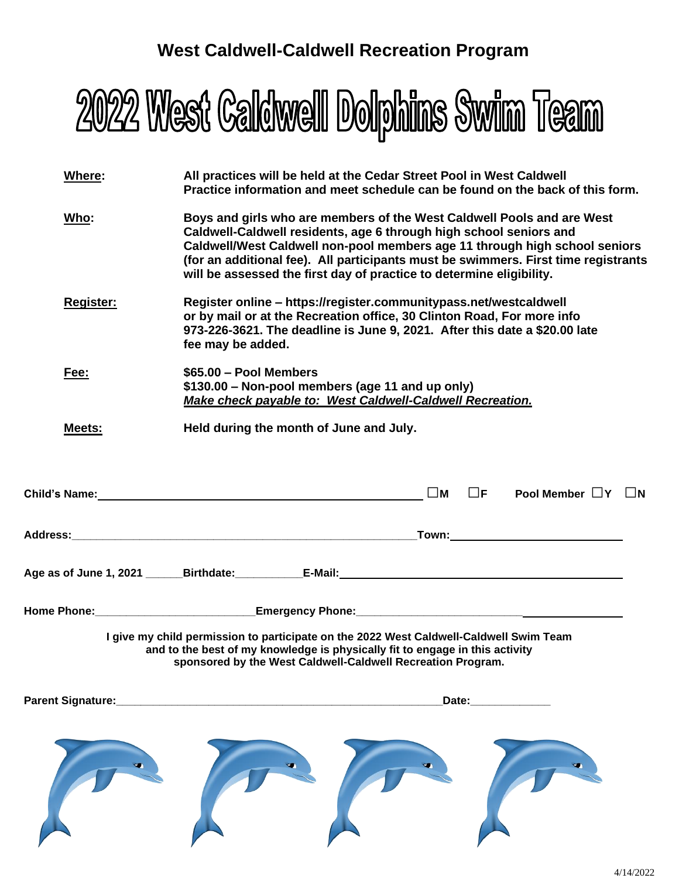# **West Caldwell-Caldwell Recreation Program**



| Where:            | All practices will be held at the Cedar Street Pool in West Caldwell<br>Practice information and meet schedule can be found on the back of this form.                                                                                                                                                                                                                                    |
|-------------------|------------------------------------------------------------------------------------------------------------------------------------------------------------------------------------------------------------------------------------------------------------------------------------------------------------------------------------------------------------------------------------------|
| <u>Who:</u>       | Boys and girls who are members of the West Caldwell Pools and are West<br>Caldwell-Caldwell residents, age 6 through high school seniors and<br>Caldwell/West Caldwell non-pool members age 11 through high school seniors<br>(for an additional fee). All participants must be swimmers. First time registrants<br>will be assessed the first day of practice to determine eligibility. |
| Register:         | Register online - https://register.communitypass.net/westcaldwell<br>or by mail or at the Recreation office, 30 Clinton Road, For more info<br>973-226-3621. The deadline is June 9, 2021. After this date a \$20.00 late<br>fee may be added.                                                                                                                                           |
| Fee:              | \$65.00 - Pool Members<br>\$130.00 - Non-pool members (age 11 and up only)<br><b>Make check payable to: West Caldwell-Caldwell Recreation.</b>                                                                                                                                                                                                                                           |
| Meets:            | Held during the month of June and July.                                                                                                                                                                                                                                                                                                                                                  |
|                   | $\square$ M<br>$\Box$ F<br>Pool Member $\Box Y$ $\Box N$<br>Child's Name: Annual Child Child Child Child Child Child Child Child Child Child Child Child Child Child Child Child Child Child Child Child Child Child Child Child Child Child Child Child Child Child Child Child Child Chi                                                                                               |
|                   |                                                                                                                                                                                                                                                                                                                                                                                          |
|                   | Age as of June 1, 2021 ______Birthdate:____________E-Mail:______________________                                                                                                                                                                                                                                                                                                         |
|                   |                                                                                                                                                                                                                                                                                                                                                                                          |
|                   | I give my child permission to participate on the 2022 West Caldwell-Caldwell Swim Team<br>and to the best of my knowledge is physically fit to engage in this activity<br>sponsored by the West Caldwell-Caldwell Recreation Program.                                                                                                                                                    |
| Parent Signature: | Date:                                                                                                                                                                                                                                                                                                                                                                                    |
|                   |                                                                                                                                                                                                                                                                                                                                                                                          |